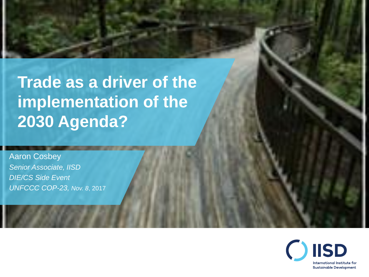#### **Trade as a driver of the implementation of the 2030 Agenda?**

Aaron Cosbey *Senior Associate, IISD DIE/CS Side Event UNFCCC COP-23, Nov. 8*, 2017

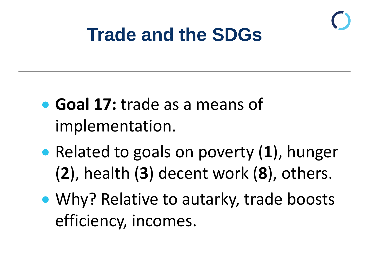

#### **Trade and the SDGs**

- **Goal 17:** trade as a means of implementation.
- Related to goals on poverty (**1**), hunger (**2**), health (**3**) decent work (**8**), others.
- Why? Relative to autarky, trade boosts efficiency, incomes.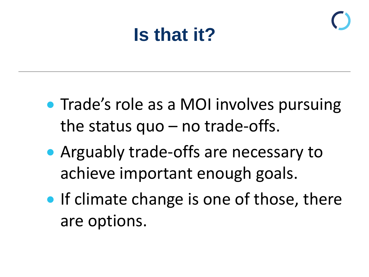#### **Is that it?**

- Trade's role as a MOI involves pursuing the status  $quo - no$  trade-offs.
- Arguably trade-offs are necessary to achieve important enough goals.
- **If climate change is one of those, there** are options.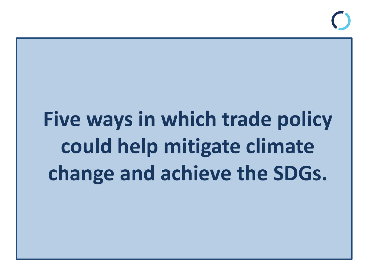# **Five ways in which trade policy could help mitigate climate change and achieve the SDGs.**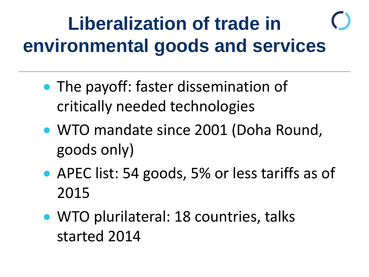#### **Liberalization of trade in environmental goods and services**

- The payoff: faster dissemination of critically needed technologies
- WTO mandate since 2001 (Doha Round, goods only)
- APEC list: 54 goods, 5% or less tariffs as of 2015
- WTO plurilateral: 18 countries, talks started 2014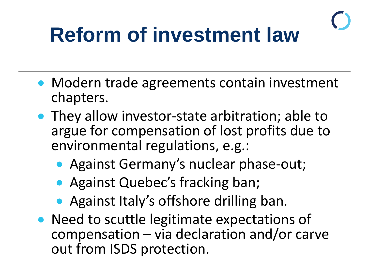# **Reform of investment law**

- Modern trade agreements contain investment chapters.
- They allow investor-state arbitration; able to argue for compensation of lost profits due to environmental regulations, e.g.:
	- Against Germany's nuclear phase-out;
	- Against Quebec's fracking ban;
	- Against Italy's offshore drilling ban.
- Need to scuttle legitimate expectations of compensation – via declaration and/or carve out from ISDS protection.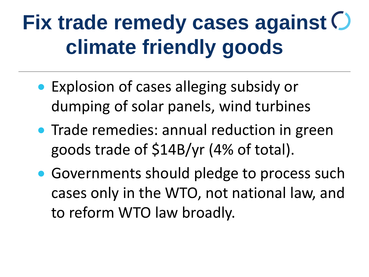# **Fix trade remedy cases against climate friendly goods**

- Explosion of cases alleging subsidy or dumping of solar panels, wind turbines
- Trade remedies: annual reduction in green goods trade of \$14B/yr (4% of total).
- Governments should pledge to process such cases only in the WTO, not national law, and to reform WTO law broadly.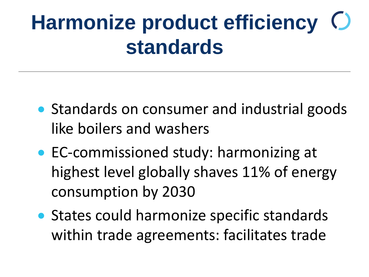#### **Harmonize product efficiency**   $\bigcirc$ **standards**

- Standards on consumer and industrial goods like boilers and washers
- EC-commissioned study: harmonizing at highest level globally shaves 11% of energy consumption by 2030
- States could harmonize specific standards within trade agreements: facilitates trade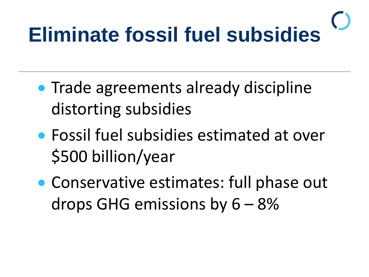# **Eliminate fossil fuel subsidies**

- Trade agreements already discipline distorting subsidies
- Fossil fuel subsidies estimated at over \$500 billion/year
- Conservative estimates: full phase out drops GHG emissions by  $6 - 8%$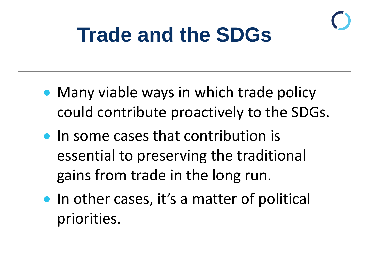### **Trade and the SDGs**

- Many viable ways in which trade policy could contribute proactively to the SDGs.
- In some cases that contribution is essential to preserving the traditional gains from trade in the long run.
- In other cases, it's a matter of political priorities.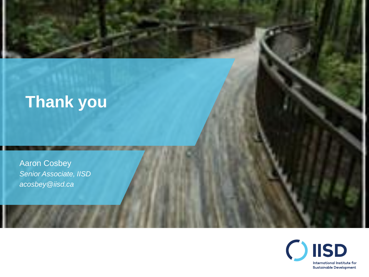#### **Thank you**

Aaron Cosbey *Senior Associate, IISD acosbey@iisd.ca*